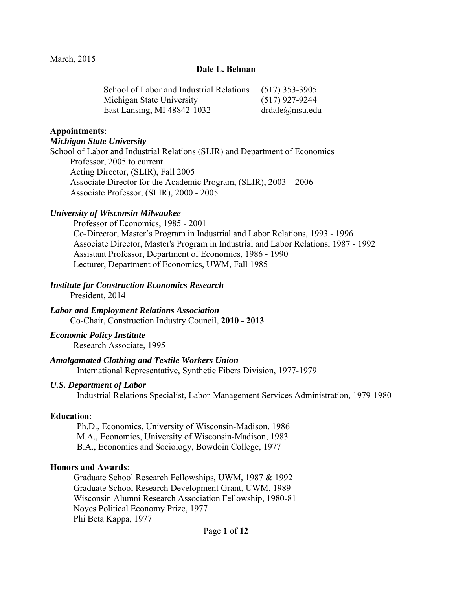### **Dale L. Belman**

| School of Labor and Industrial Relations | $(517)$ 353-3905 |
|------------------------------------------|------------------|
| Michigan State University                | $(517)$ 927-9244 |
| East Lansing, MI 48842-1032              | drdale@msu.edu   |

#### **Appointments**:

#### *Michigan State University*

School of Labor and Industrial Relations (SLIR) and Department of Economics Professor, 2005 to current Acting Director, (SLIR), Fall 2005 Associate Director for the Academic Program, (SLIR), 2003 – 2006 Associate Professor, (SLIR), 2000 - 2005

#### *University of Wisconsin Milwaukee*

Professor of Economics, 1985 - 2001 Co-Director, Master's Program in Industrial and Labor Relations, 1993 - 1996 Associate Director, Master's Program in Industrial and Labor Relations, 1987 - 1992 Assistant Professor, Department of Economics, 1986 - 1990 Lecturer, Department of Economics, UWM, Fall 1985

### *Institute for Construction Economics Research*

President, 2014

*Labor and Employment Relations Association*  Co-Chair, Construction Industry Council, **2010 - 2013**

#### *Economic Policy Institute*

Research Associate, 1995

### *Amalgamated Clothing and Textile Workers Union*

International Representative, Synthetic Fibers Division, 1977-1979

### *U.S. Department of Labor*

Industrial Relations Specialist, Labor-Management Services Administration, 1979-1980

### **Education**:

Ph.D., Economics, University of Wisconsin-Madison, 1986 M.A., Economics, University of Wisconsin-Madison, 1983 B.A., Economics and Sociology, Bowdoin College, 1977

#### **Honors and Awards**:

Graduate School Research Fellowships, UWM, 1987 & 1992 Graduate School Research Development Grant, UWM, 1989 Wisconsin Alumni Research Association Fellowship, 1980-81 Noyes Political Economy Prize, 1977 Phi Beta Kappa, 1977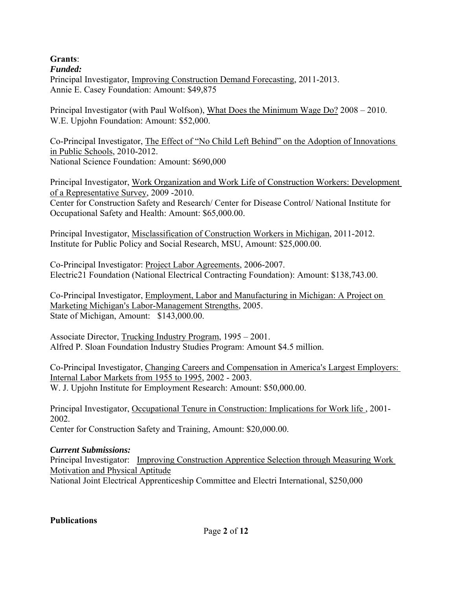# **Grants**:

*Funded:*  Principal Investigator, Improving Construction Demand Forecasting, 2011-2013.

Annie E. Casey Foundation: Amount: \$49,875

Principal Investigator (with Paul Wolfson), What Does the Minimum Wage Do? 2008 – 2010. W.E. Upjohn Foundation: Amount: \$52,000.

Co-Principal Investigator, The Effect of "No Child Left Behind" on the Adoption of Innovations in Public Schools, 2010-2012. National Science Foundation: Amount: \$690,000

Principal Investigator, Work Organization and Work Life of Construction Workers: Development of a Representative Survey, 2009 -2010.

Center for Construction Safety and Research/ Center for Disease Control/ National Institute for Occupational Safety and Health: Amount: \$65,000.00.

Principal Investigator, Misclassification of Construction Workers in Michigan, 2011-2012. Institute for Public Policy and Social Research, MSU, Amount: \$25,000.00.

Co-Principal Investigator: Project Labor Agreements, 2006-2007. Electric21 Foundation (National Electrical Contracting Foundation): Amount: \$138,743.00.

Co-Principal Investigator, Employment, Labor and Manufacturing in Michigan: A Project on Marketing Michigan's Labor-Management Strengths, 2005. State of Michigan, Amount: \$143,000.00.

Associate Director, Trucking Industry Program, 1995 – 2001. Alfred P. Sloan Foundation Industry Studies Program: Amount \$4.5 million.

Co-Principal Investigator, Changing Careers and Compensation in America's Largest Employers: Internal Labor Markets from 1955 to 1995, 2002 - 2003. W. J. Upjohn Institute for Employment Research: Amount: \$50,000.00.

Principal Investigator, Occupational Tenure in Construction: Implications for Work life , 2001- 2002. Center for Construction Safety and Training, Amount: \$20,000.00.

# *Current Submissions:*

Principal Investigator: Improving Construction Apprentice Selection through Measuring Work Motivation and Physical Aptitude National Joint Electrical Apprenticeship Committee and Electri International, \$250,000

# **Publications**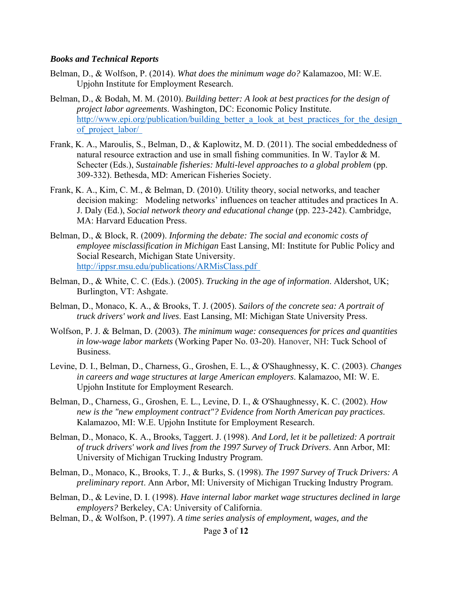### *Books and Technical Reports*

- Belman, D., & Wolfson, P. (2014). *What does the minimum wage do?* Kalamazoo, MI: W.E. Upjohn Institute for Employment Research.
- Belman, D., & Bodah, M. M. (2010). *Building better: A look at best practices for the design of project labor agreements*. Washington, DC: Economic Policy Institute. http://www.epi.org/publication/building\_better\_a\_look\_at\_best\_practices\_for\_the\_design\_ of project labor/
- Frank, K. A., Maroulis, S., Belman, D., & Kaplowitz, M. D. (2011). The social embeddedness of natural resource extraction and use in small fishing communities. In W. Taylor & M. Schecter (Eds.), *Sustainable fisheries: Multi-level approaches to a global problem* (pp. 309-332). Bethesda, MD: American Fisheries Society.
- Frank, K. A., Kim, C. M., & Belman, D. (2010). Utility theory, social networks, and teacher decision making: Modeling networks' influences on teacher attitudes and practices In A. J. Daly (Ed.), *Social network theory and educational change* (pp. 223-242). Cambridge, MA: Harvard Education Press.
- Belman, D., & Block, R. (2009). *Informing the debate: The social and economic costs of employee misclassification in Michigan* East Lansing, MI: Institute for Public Policy and Social Research, Michigan State University. http://ippsr.msu.edu/publications/ARMisClass.pdf
- Belman, D., & White, C. C. (Eds.). (2005). *Trucking in the age of information*. Aldershot, UK; Burlington, VT: Ashgate.
- Belman, D., Monaco, K. A., & Brooks, T. J. (2005). *Sailors of the concrete sea: A portrait of truck drivers' work and lives*. East Lansing, MI: Michigan State University Press.
- Wolfson, P. J. & Belman, D. (2003). *The minimum wage: consequences for prices and quantities in low-wage labor markets* (Working Paper No. 03-20). Hanover, NH: Tuck School of Business.
- Levine, D. I., Belman, D., Charness, G., Groshen, E. L., & O'Shaughnessy, K. C. (2003). *Changes in careers and wage structures at large American employers*. Kalamazoo, MI: W. E. Upjohn Institute for Employment Research.
- Belman, D., Charness, G., Groshen, E. L., Levine, D. I., & O'Shaughnessy, K. C. (2002). *How new is the "new employment contract"? Evidence from North American pay practices*. Kalamazoo, MI: W.E. Upjohn Institute for Employment Research.
- Belman, D., Monaco, K. A., Brooks, Taggert. J. (1998). *And Lord, let it be palletized: A portrait of truck drivers' work and lives from the 1997 Survey of Truck Drivers*. Ann Arbor, MI: University of Michigan Trucking Industry Program.
- Belman, D., Monaco, K., Brooks, T. J., & Burks, S. (1998). *The 1997 Survey of Truck Drivers: A preliminary report*. Ann Arbor, MI: University of Michigan Trucking Industry Program.
- Belman, D., & Levine, D. I. (1998). *Have internal labor market wage structures declined in large employers?* Berkeley, CA: University of California.
- Belman, D., & Wolfson, P. (1997). *A time series analysis of employment, wages, and the*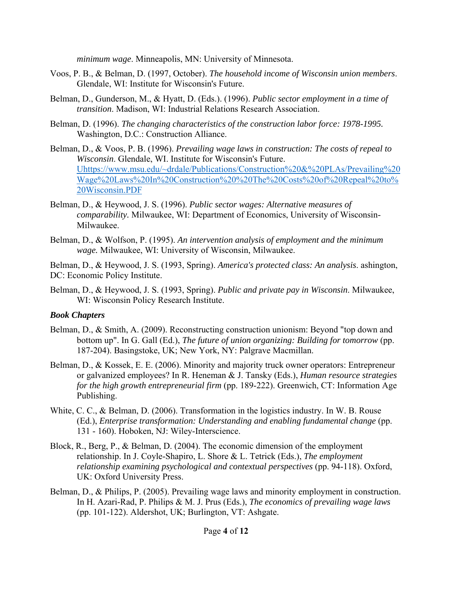*minimum wage*. Minneapolis, MN: University of Minnesota.

- Voos, P. B., & Belman, D. (1997, October). *The household income of Wisconsin union members*. Glendale, WI: Institute for Wisconsin's Future.
- Belman, D., Gunderson, M., & Hyatt, D. (Eds.). (1996). *Public sector employment in a time of transition*. Madison, WI: Industrial Relations Research Association.
- Belman, D. (1996). *The changing characteristics of the construction labor force: 1978-1995.* Washington, D.C.: Construction Alliance.
- Belman, D., & Voos, P. B. (1996). *Prevailing wage laws in construction: The costs of repeal to Wisconsin*. Glendale, WI. Institute for Wisconsin's Future. Uhttps://www.msu.edu/~drdale/Publications/Construction%20&%20PLAs/Prevailing%20 Wage%20Laws%20In%20Construction%20%20The%20Costs%20of%20Repeal%20to% 20Wisconsin.PDF
- Belman, D., & Heywood, J. S. (1996). *Public sector wages: Alternative measures of comparability.* Milwaukee, WI: Department of Economics, University of Wisconsin-Milwaukee.
- Belman, D., & Wolfson, P. (1995). *An intervention analysis of employment and the minimum wage.* Milwaukee, WI: University of Wisconsin, Milwaukee.

Belman, D., & Heywood, J. S. (1993, Spring). *America's protected class: An analysis*. ashington, DC: Economic Policy Institute.

Belman, D., & Heywood, J. S. (1993, Spring). *Public and private pay in Wisconsin*. Milwaukee, WI: Wisconsin Policy Research Institute.

# *Book Chapters*

- Belman, D., & Smith, A. (2009). Reconstructing construction unionism: Beyond "top down and bottom up". In G. Gall (Ed.), *The future of union organizing: Building for tomorrow* (pp. 187-204). Basingstoke, UK; New York, NY: Palgrave Macmillan.
- Belman, D., & Kossek, E. E. (2006). Minority and majority truck owner operators: Entrepreneur or galvanized employees? In R. Heneman & J. Tansky (Eds.), *Human resource strategies for the high growth entrepreneurial firm* (pp. 189-222). Greenwich, CT: Information Age Publishing.
- White, C. C., & Belman, D. (2006). Transformation in the logistics industry. In W. B. Rouse (Ed.), *Enterprise transformation: Understanding and enabling fundamental change* (pp. 131 - 160). Hoboken, NJ: Wiley-Interscience.
- Block, R., Berg, P., & Belman, D. (2004). The economic dimension of the employment relationship. In J. Coyle-Shapiro, L. Shore & L. Tetrick (Eds.), *The employment relationship examining psychological and contextual perspectives* (pp. 94-118). Oxford, UK: Oxford University Press.
- Belman, D., & Philips, P. (2005). Prevailing wage laws and minority employment in construction. In H. Azari-Rad, P. Philips & M. J. Prus (Eds.), *The economics of prevailing wage laws* (pp. 101-122). Aldershot, UK; Burlington, VT: Ashgate.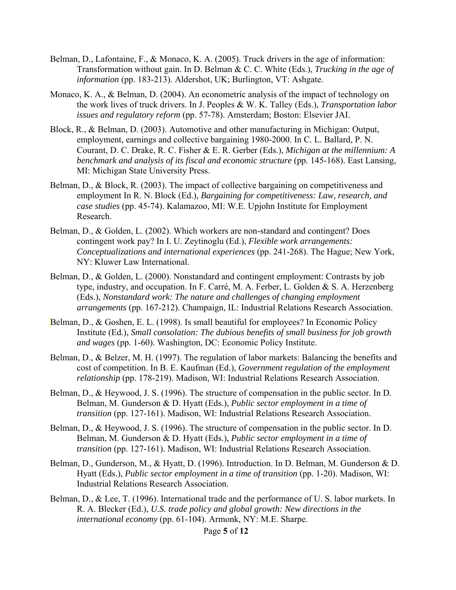- Belman, D., Lafontaine, F., & Monaco, K. A. (2005). Truck drivers in the age of information: Transformation without gain. In D. Belman & C. C. White (Eds.), *Trucking in the age of information* (pp. 183-213). Aldershot, UK; Burlington, VT: Ashgate.
- Monaco, K. A., & Belman, D. (2004). An econometric analysis of the impact of technology on the work lives of truck drivers. In J. Peoples & W. K. Talley (Eds.), *Transportation labor issues and regulatory reform* (pp. 57-78). Amsterdam; Boston: Elsevier JAI.
- Block, R., & Belman, D. (2003). Automotive and other manufacturing in Michigan: Output, employment, earnings and collective bargaining 1980-2000. In C. L. Ballard, P. N. Courant, D. C. Drake, R. C. Fisher & E. R. Gerber (Eds.), *Michigan at the millennium: A benchmark and analysis of its fiscal and economic structure* (pp. 145-168). East Lansing, MI: Michigan State University Press.
- Belman, D., & Block, R. (2003). The impact of collective bargaining on competitiveness and employment In R. N. Block (Ed.), *Bargaining for competitiveness: Law, research, and case studies* (pp. 45-74). Kalamazoo, MI: W.E. Upjohn Institute for Employment Research.
- Belman, D., & Golden, L. (2002). Which workers are non-standard and contingent? Does contingent work pay? In I. U. Zeytinoglu (Ed.), *Flexible work arrangements: Conceptualizations and international experiences* (pp. 241-268). The Hague; New York, NY: Kluwer Law International.
- Belman, D., & Golden, L. (2000). Nonstandard and contingent employment: Contrasts by job type, industry, and occupation. In F. Carré, M. A. Ferber, L. Golden & S. A. Herzenberg (Eds.), *Nonstandard work: The nature and challenges of changing employment arrangements* (pp. 167-212). Champaign, IL: Industrial Relations Research Association.
- Belman, D., & Goshen, E. L. (1998). Is small beautiful for employees? In Economic Policy Institute (Ed.), *Small consolation: The dubious benefits of small business for job growth and wages* (pp. 1-60). Washington, DC: Economic Policy Institute.
- Belman, D., & Belzer, M. H. (1997). The regulation of labor markets: Balancing the benefits and cost of competition. In B. E. Kaufman (Ed.), *Government regulation of the employment relationship* (pp. 178-219). Madison, WI: Industrial Relations Research Association.
- Belman, D., & Heywood, J. S. (1996). The structure of compensation in the public sector. In D. Belman, M. Gunderson & D. Hyatt (Eds.), *Public sector employment in a time of transition* (pp. 127-161). Madison, WI: Industrial Relations Research Association.
- Belman, D., & Heywood, J. S. (1996). The structure of compensation in the public sector. In D. Belman, M. Gunderson & D. Hyatt (Eds.), *Public sector employment in a time of transition* (pp. 127-161). Madison, WI: Industrial Relations Research Association.
- Belman, D., Gunderson, M., & Hyatt, D. (1996). Introduction. In D. Belman, M. Gunderson & D. Hyatt (Eds.), *Public sector employment in a time of transition* (pp. 1-20). Madison, WI: Industrial Relations Research Association.
- Belman, D., & Lee, T. (1996). International trade and the performance of U. S. labor markets. In R. A. Blecker (Ed.), *U.S. trade policy and global growth: New directions in the international economy* (pp. 61-104). Armonk, NY: M.E. Sharpe.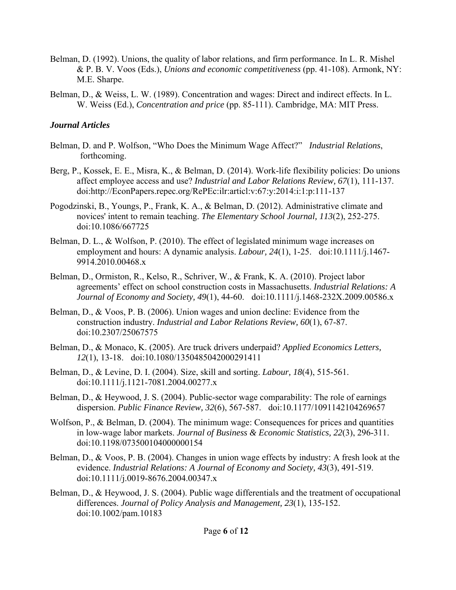- Belman, D. (1992). Unions, the quality of labor relations, and firm performance. In L. R. Mishel & P. B. V. Voos (Eds.), *Unions and economic competitiveness* (pp. 41-108). Armonk, NY: M.E. Sharpe.
- Belman, D., & Weiss, L. W. (1989). Concentration and wages: Direct and indirect effects. In L. W. Weiss (Ed.), *Concentration and price* (pp. 85-111). Cambridge, MA: MIT Press.

## *Journal Articles*

- Belman, D. and P. Wolfson, "Who Does the Minimum Wage Affect?" *Industrial Relations*, forthcoming.
- Berg, P., Kossek, E. E., Misra, K., & Belman, D. (2014). Work-life flexibility policies: Do unions affect employee access and use? *Industrial and Labor Relations Review, 67*(1), 111-137. doi:http://EconPapers.repec.org/RePEc:ilr:articl:v:67:y:2014:i:1:p:111-137
- Pogodzinski, B., Youngs, P., Frank, K. A., & Belman, D. (2012). Administrative climate and novices' intent to remain teaching. *The Elementary School Journal, 113*(2), 252-275. doi:10.1086/667725
- Belman, D. L., & Wolfson, P. (2010). The effect of legislated minimum wage increases on employment and hours: A dynamic analysis. *Labour, 24*(1), 1-25. doi:10.1111/j.1467- 9914.2010.00468.x
- Belman, D., Ormiston, R., Kelso, R., Schriver, W., & Frank, K. A. (2010). Project labor agreements' effect on school construction costs in Massachusetts. *Industrial Relations: A Journal of Economy and Society, 49*(1), 44-60. doi:10.1111/j.1468-232X.2009.00586.x
- Belman, D., & Voos, P. B. (2006). Union wages and union decline: Evidence from the construction industry. *Industrial and Labor Relations Review, 60*(1), 67-87. doi:10.2307/25067575
- Belman, D., & Monaco, K. (2005). Are truck drivers underpaid? *Applied Economics Letters, 12*(1), 13-18. doi:10.1080/1350485042000291411
- Belman, D., & Levine, D. I. (2004). Size, skill and sorting. *Labour, 18*(4), 515-561. doi:10.1111/j.1121-7081.2004.00277.x
- Belman, D., & Heywood, J. S. (2004). Public-sector wage comparability: The role of earnings dispersion. *Public Finance Review, 32*(6), 567-587. doi:10.1177/1091142104269657
- Wolfson, P., & Belman, D. (2004). The minimum wage: Consequences for prices and quantities in low-wage labor markets. *Journal of Business & Economic Statistics, 22*(3), 296-311. doi:10.1198/073500104000000154
- Belman, D., & Voos, P. B. (2004). Changes in union wage effects by industry: A fresh look at the evidence. *Industrial Relations: A Journal of Economy and Society, 43*(3), 491-519. doi:10.1111/j.0019-8676.2004.00347.x
- Belman, D., & Heywood, J. S. (2004). Public wage differentials and the treatment of occupational differences. *Journal of Policy Analysis and Management, 23*(1), 135-152. doi:10.1002/pam.10183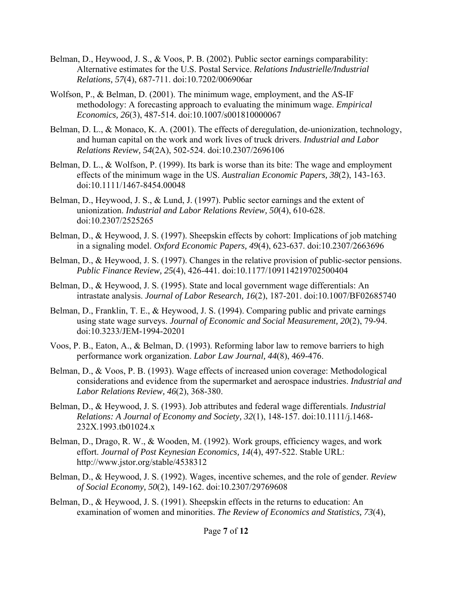- Belman, D., Heywood, J. S., & Voos, P. B. (2002). Public sector earnings comparability: Alternative estimates for the U.S. Postal Service. *Relations Industrielle/Industrial Relations, 57*(4), 687-711. doi:10.7202/006906ar
- Wolfson, P., & Belman, D. (2001). The minimum wage, employment, and the AS-IF methodology: A forecasting approach to evaluating the minimum wage. *Empirical Economics, 26*(3), 487-514. doi:10.1007/s001810000067
- Belman, D. L., & Monaco, K. A. (2001). The effects of deregulation, de-unionization, technology, and human capital on the work and work lives of truck drivers. *Industrial and Labor Relations Review, 54*(2A), 502-524. doi:10.2307/2696106
- Belman, D. L., & Wolfson, P. (1999). Its bark is worse than its bite: The wage and employment effects of the minimum wage in the US. *Australian Economic Papers, 38*(2), 143-163. doi:10.1111/1467-8454.00048
- Belman, D., Heywood, J. S., & Lund, J. (1997). Public sector earnings and the extent of unionization. *Industrial and Labor Relations Review, 50*(4), 610-628. doi:10.2307/2525265
- Belman, D., & Heywood, J. S. (1997). Sheepskin effects by cohort: Implications of job matching in a signaling model. *Oxford Economic Papers, 49*(4), 623-637. doi:10.2307/2663696
- Belman, D., & Heywood, J. S. (1997). Changes in the relative provision of public-sector pensions. *Public Finance Review, 25*(4), 426-441. doi:10.1177/109114219702500404
- Belman, D., & Heywood, J. S. (1995). State and local government wage differentials: An intrastate analysis. *Journal of Labor Research, 16*(2), 187-201. doi:10.1007/BF02685740
- Belman, D., Franklin, T. E., & Heywood, J. S. (1994). Comparing public and private earnings using state wage surveys. *Journal of Economic and Social Measurement, 20*(2), 79-94. doi:10.3233/JEM-1994-20201
- Voos, P. B., Eaton, A., & Belman, D. (1993). Reforming labor law to remove barriers to high performance work organization. *Labor Law Journal, 44*(8), 469-476.
- Belman, D., & Voos, P. B. (1993). Wage effects of increased union coverage: Methodological considerations and evidence from the supermarket and aerospace industries. *Industrial and Labor Relations Review, 46*(2), 368-380.
- Belman, D., & Heywood, J. S. (1993). Job attributes and federal wage differentials. *Industrial Relations: A Journal of Economy and Society, 32*(1), 148-157. doi:10.1111/j.1468- 232X.1993.tb01024.x
- Belman, D., Drago, R. W., & Wooden, M. (1992). Work groups, efficiency wages, and work effort. *Journal of Post Keynesian Economics, 14*(4), 497-522. Stable URL: http://www.jstor.org/stable/4538312
- Belman, D., & Heywood, J. S. (1992). Wages, incentive schemes, and the role of gender. *Review of Social Economy, 50*(2), 149-162. doi:10.2307/29769608
- Belman, D., & Heywood, J. S. (1991). Sheepskin effects in the returns to education: An examination of women and minorities. *The Review of Economics and Statistics, 73*(4),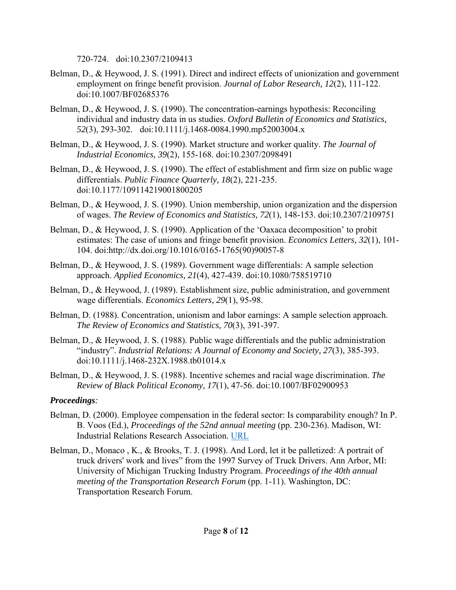720-724. doi:10.2307/2109413

- Belman, D., & Heywood, J. S. (1991). Direct and indirect effects of unionization and government employment on fringe benefit provision. *Journal of Labor Research, 12*(2), 111-122. doi:10.1007/BF02685376
- Belman, D., & Heywood, J. S. (1990). The concentration-earnings hypothesis: Reconciling individual and industry data in us studies. *Oxford Bulletin of Economics and Statistics, 52*(3), 293-302. doi:10.1111/j.1468-0084.1990.mp52003004.x
- Belman, D., & Heywood, J. S. (1990). Market structure and worker quality. *The Journal of Industrial Economics, 39*(2), 155-168. doi:10.2307/2098491
- Belman, D., & Heywood, J. S. (1990). The effect of establishment and firm size on public wage differentials. *Public Finance Quarterly, 18*(2), 221-235. doi:10.1177/109114219001800205
- Belman, D., & Heywood, J. S. (1990). Union membership, union organization and the dispersion of wages. *The Review of Economics and Statistics, 72*(1), 148-153. doi:10.2307/2109751
- Belman, D., & Heywood, J. S. (1990). Application of the 'Oaxaca decomposition' to probit estimates: The case of unions and fringe benefit provision. *Economics Letters, 32*(1), 101- 104. doi:http://dx.doi.org/10.1016/0165-1765(90)90057-8
- Belman, D., & Heywood, J. S. (1989). Government wage differentials: A sample selection approach. *Applied Economics, 21*(4), 427-439. doi:10.1080/758519710
- Belman, D., & Heywood, J. (1989). Establishment size, public administration, and government wage differentials. *Economics Letters, 29*(1), 95-98.
- Belman, D. (1988). Concentration, unionism and labor earnings: A sample selection approach. *The Review of Economics and Statistics, 70*(3), 391-397.
- Belman, D., & Heywood, J. S. (1988). Public wage differentials and the public administration "industry". *Industrial Relations: A Journal of Economy and Society, 27*(3), 385-393. doi:10.1111/j.1468-232X.1988.tb01014.x
- Belman, D., & Heywood, J. S. (1988). Incentive schemes and racial wage discrimination. *The Review of Black Political Economy, 17*(1), 47-56. doi:10.1007/BF02900953

# *Proceedings:*

- Belman, D. (2000). Employee compensation in the federal sector: Is comparability enough? In P. B. Voos (Ed.), *Proceedings of the 52nd annual meeting* (pp. 230-236). Madison, WI: Industrial Relations Research Association. URL
- Belman, D., Monaco , K., & Brooks, T. J. (1998). And Lord, let it be palletized: A portrait of truck drivers' work and lives" from the 1997 Survey of Truck Drivers. Ann Arbor, MI: University of Michigan Trucking Industry Program. *Proceedings of the 40th annual meeting of the Transportation Research Forum* (pp. 1-11). Washington, DC: Transportation Research Forum.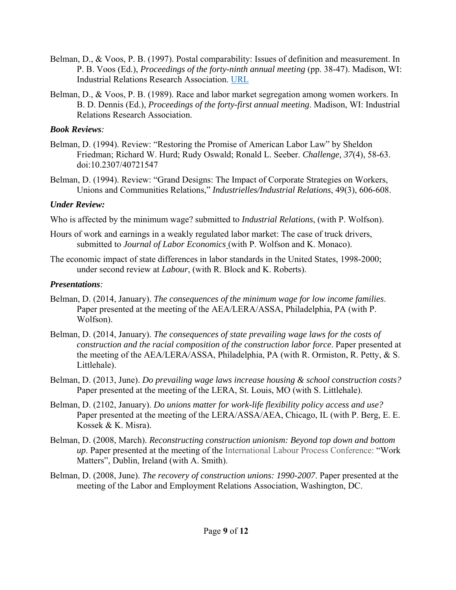- Belman, D., & Voos, P. B. (1997). Postal comparability: Issues of definition and measurement. In P. B. Voos (Ed.), *Proceedings of the forty-ninth annual meeting* (pp. 38-47). Madison, WI: Industrial Relations Research Association. URL
- Belman, D., & Voos, P. B. (1989). Race and labor market segregation among women workers. In B. D. Dennis (Ed.), *Proceedings of the forty-first annual meeting*. Madison, WI: Industrial Relations Research Association.

## *Book Reviews:*

- Belman, D. (1994). Review: "Restoring the Promise of American Labor Law" by Sheldon Friedman; Richard W. Hurd; Rudy Oswald; Ronald L. Seeber. *Challenge, 37*(4), 58-63. doi:10.2307/40721547
- Belman, D. (1994). Review: "Grand Designs: The Impact of Corporate Strategies on Workers, Unions and Communities Relations," *Industrielles/Industrial Relations*, 49(3), 606-608.

# *Under Review:*

Who is affected by the minimum wage? submitted to *Industrial Relations*, (with P. Wolfson).

- Hours of work and earnings in a weakly regulated labor market: The case of truck drivers, submitted to *Journal of Labor Economics* (with P. Wolfson and K. Monaco).
- The economic impact of state differences in labor standards in the United States, 1998-2000; under second review at *Labour*, (with R. Block and K. Roberts).

# *Presentations:*

- Belman, D. (2014, January). *The consequences of the minimum wage for low income families*. Paper presented at the meeting of the AEA/LERA/ASSA, Philadelphia, PA (with P. Wolfson).
- Belman, D. (2014, January). *The consequences of state prevailing wage laws for the costs of construction and the racial composition of the construction labor force*. Paper presented at the meeting of the AEA/LERA/ASSA, Philadelphia, PA (with R. Ormiston, R. Petty, & S. Littlehale).
- Belman, D. (2013, June). *Do prevailing wage laws increase housing & school construction costs?* Paper presented at the meeting of the LERA, St. Louis, MO (with S. Littlehale).
- Belman, D. (2102, January). *Do unions matter for work-life flexibility policy access and use?* Paper presented at the meeting of the LERA/ASSA/AEA, Chicago, IL (with P. Berg, E. E. Kossek & K. Misra).
- Belman, D. (2008, March). *Reconstructing construction unionism: Beyond top down and bottom up*. Paper presented at the meeting of the International Labour Process Conference: "Work Matters", Dublin, Ireland (with A. Smith).
- Belman, D. (2008, June). *The recovery of construction unions: 1990-2007*. Paper presented at the meeting of the Labor and Employment Relations Association, Washington, DC.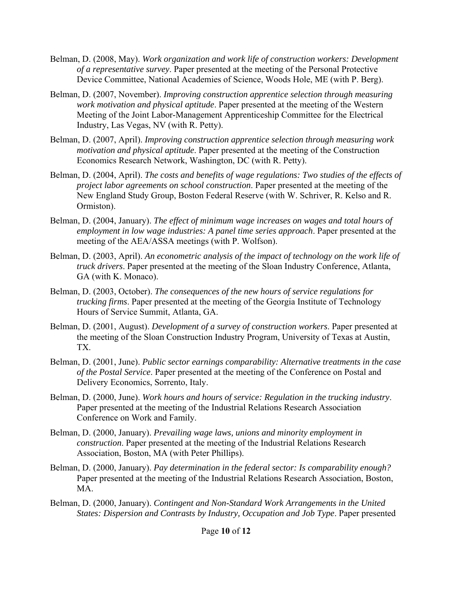- Belman, D. (2008, May). *Work organization and work life of construction workers: Development of a representative survey*. Paper presented at the meeting of the Personal Protective Device Committee, National Academies of Science, Woods Hole, ME (with P. Berg).
- Belman, D. (2007, November). *Improving construction apprentice selection through measuring work motivation and physical aptitude*. Paper presented at the meeting of the Western Meeting of the Joint Labor-Management Apprenticeship Committee for the Electrical Industry, Las Vegas, NV (with R. Petty).
- Belman, D. (2007, April). *Improving construction apprentice selection through measuring work motivation and physical aptitude*. Paper presented at the meeting of the Construction Economics Research Network, Washington, DC (with R. Petty).
- Belman, D. (2004, April). *The costs and benefits of wage regulations: Two studies of the effects of project labor agreements on school construction*. Paper presented at the meeting of the New England Study Group, Boston Federal Reserve (with W. Schriver, R. Kelso and R. Ormiston).
- Belman, D. (2004, January). *The effect of minimum wage increases on wages and total hours of employment in low wage industries: A panel time series approach*. Paper presented at the meeting of the AEA/ASSA meetings (with P. Wolfson).
- Belman, D. (2003, April). *An econometric analysis of the impact of technology on the work life of truck drivers*. Paper presented at the meeting of the Sloan Industry Conference, Atlanta, GA (with K. Monaco).
- Belman, D. (2003, October). *The consequences of the new hours of service regulations for trucking firms*. Paper presented at the meeting of the Georgia Institute of Technology Hours of Service Summit, Atlanta, GA.
- Belman, D. (2001, August). *Development of a survey of construction workers*. Paper presented at the meeting of the Sloan Construction Industry Program, University of Texas at Austin, TX.
- Belman, D. (2001, June). *Public sector earnings comparability: Alternative treatments in the case of the Postal Service*. Paper presented at the meeting of the Conference on Postal and Delivery Economics, Sorrento, Italy.
- Belman, D. (2000, June). *Work hours and hours of service: Regulation in the trucking industry*. Paper presented at the meeting of the Industrial Relations Research Association Conference on Work and Family.
- Belman, D. (2000, January). *Prevailing wage laws, unions and minority employment in construction*. Paper presented at the meeting of the Industrial Relations Research Association, Boston, MA (with Peter Phillips).
- Belman, D. (2000, January). *Pay determination in the federal sector: Is comparability enough?* Paper presented at the meeting of the Industrial Relations Research Association, Boston, MA.
- Belman, D. (2000, January). *Contingent and Non-Standard Work Arrangements in the United States: Dispersion and Contrasts by Industry, Occupation and Job Type*. Paper presented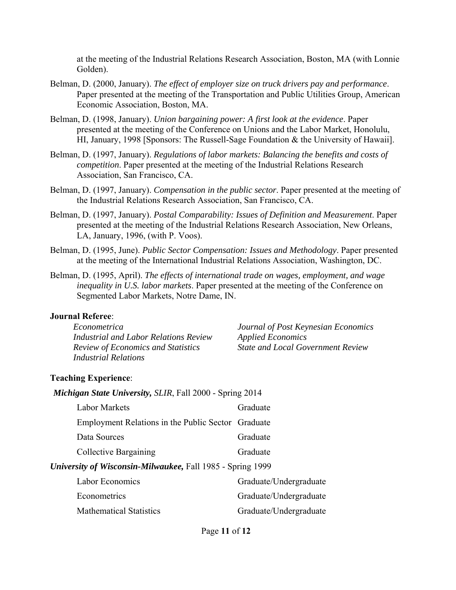at the meeting of the Industrial Relations Research Association, Boston, MA (with Lonnie Golden).

- Belman, D. (2000, January). *The effect of employer size on truck drivers pay and performance*. Paper presented at the meeting of the Transportation and Public Utilities Group, American Economic Association, Boston, MA.
- Belman, D. (1998, January). *Union bargaining power: A first look at the evidence*. Paper presented at the meeting of the Conference on Unions and the Labor Market, Honolulu, HI, January, 1998 [Sponsors: The Russell-Sage Foundation & the University of Hawaii].
- Belman, D. (1997, January). *Regulations of labor markets: Balancing the benefits and costs of competition*. Paper presented at the meeting of the Industrial Relations Research Association, San Francisco, CA.
- Belman, D. (1997, January). *Compensation in the public sector*. Paper presented at the meeting of the Industrial Relations Research Association, San Francisco, CA.
- Belman, D. (1997, January). *Postal Comparability: Issues of Definition and Measurement*. Paper presented at the meeting of the Industrial Relations Research Association, New Orleans, LA, January, 1996, (with P. Voos).
- Belman, D. (1995, June). *Public Sector Compensation: Issues and Methodology*. Paper presented at the meeting of the International Industrial Relations Association, Washington, DC.
- Belman, D. (1995, April). *The effects of international trade on wages, employment, and wage inequality in U.S. labor markets*. Paper presented at the meeting of the Conference on Segmented Labor Markets, Notre Dame, IN.

### **Journal Referee**:

| Econometrica                              |
|-------------------------------------------|
| Industrial and Labor Relations Review     |
| <b>Review of Economics and Statistics</b> |
| <i>Industrial Relations</i>               |

*Journal of Post Keynesian Economics Applied Economics State and Local Government Review*

### **Teaching Experience**:

*Michigan State University, SLIR*, Fall 2000 - Spring 2014

| University of Wisconsin-Milwaukee, Fall 1985 - Spring 1999 |          |
|------------------------------------------------------------|----------|
| Collective Bargaining                                      | Graduate |
| Data Sources                                               | Graduate |
| Employment Relations in the Public Sector Graduate         |          |
| <b>Labor Markets</b>                                       | Graduate |

| Labor Economics                | Graduate/Undergraduate |
|--------------------------------|------------------------|
| Econometrics                   | Graduate/Undergraduate |
| <b>Mathematical Statistics</b> | Graduate/Undergraduate |